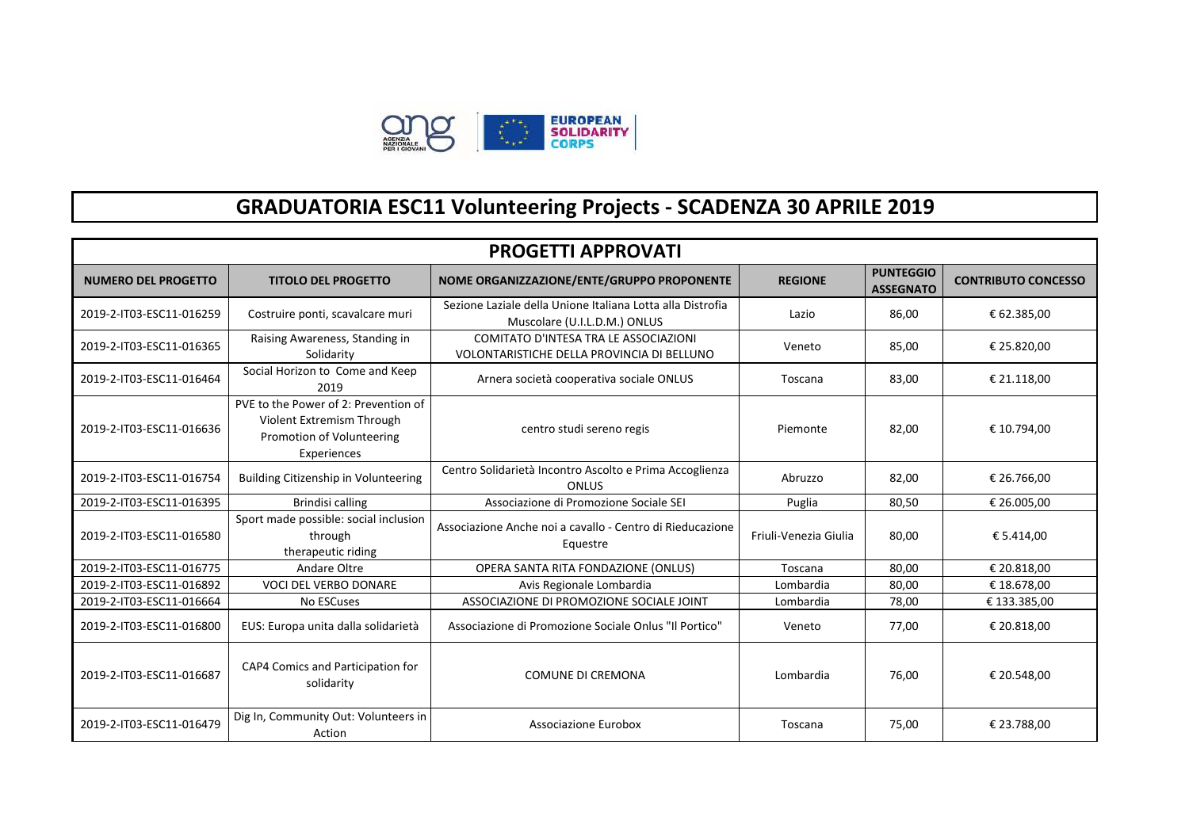

## **GRADUATORIA ESC11 Volunteering Projects - SCADENZA 30 APRILE 2019**

| <b>PROGETTI APPROVATI</b>  |                                                                                                               |                                                                                            |                       |                                      |                            |
|----------------------------|---------------------------------------------------------------------------------------------------------------|--------------------------------------------------------------------------------------------|-----------------------|--------------------------------------|----------------------------|
| <b>NUMERO DEL PROGETTO</b> | <b>TITOLO DEL PROGETTO</b>                                                                                    | NOME ORGANIZZAZIONE/ENTE/GRUPPO PROPONENTE                                                 | <b>REGIONE</b>        | <b>PUNTEGGIO</b><br><b>ASSEGNATO</b> | <b>CONTRIBUTO CONCESSO</b> |
| 2019-2-IT03-ESC11-016259   | Costruire ponti, scavalcare muri                                                                              | Sezione Laziale della Unione Italiana Lotta alla Distrofia<br>Muscolare (U.I.L.D.M.) ONLUS | Lazio                 | 86,00                                | € 62.385,00                |
| 2019-2-IT03-ESC11-016365   | Raising Awareness, Standing in<br>Solidarity                                                                  | COMITATO D'INTESA TRA LE ASSOCIAZIONI<br>VOLONTARISTICHE DELLA PROVINCIA DI BELLUNO        | Veneto                | 85,00                                | € 25.820,00                |
| 2019-2-IT03-ESC11-016464   | Social Horizon to Come and Keep<br>2019                                                                       | Arnera società cooperativa sociale ONLUS                                                   | Toscana               | 83,00                                | € 21.118,00                |
| 2019-2-IT03-ESC11-016636   | PVE to the Power of 2: Prevention of<br>Violent Extremism Through<br>Promotion of Volunteering<br>Experiences | centro studi sereno regis                                                                  | Piemonte              | 82,00                                | € 10.794,00                |
| 2019-2-IT03-ESC11-016754   | <b>Building Citizenship in Volunteering</b>                                                                   | Centro Solidarietà Incontro Ascolto e Prima Accoglienza<br><b>ONLUS</b>                    | Abruzzo               | 82,00                                | € 26.766,00                |
| 2019-2-IT03-ESC11-016395   | Brindisi calling                                                                                              | Associazione di Promozione Sociale SEI                                                     | Puglia                | 80,50                                | € 26.005,00                |
| 2019-2-IT03-ESC11-016580   | Sport made possible: social inclusion<br>through<br>therapeutic riding                                        | Associazione Anche noi a cavallo - Centro di Rieducazione<br>Equestre                      | Friuli-Venezia Giulia | 80,00                                | € 5.414,00                 |
| 2019-2-IT03-ESC11-016775   | Andare Oltre                                                                                                  | OPERA SANTA RITA FONDAZIONE (ONLUS)                                                        | Toscana               | 80,00                                | € 20.818,00                |
| 2019-2-IT03-ESC11-016892   | <b>VOCI DEL VERBO DONARE</b>                                                                                  | Avis Regionale Lombardia                                                                   | Lombardia             | 80,00                                | € 18.678,00                |
| 2019-2-IT03-ESC11-016664   | No ESCuses                                                                                                    | ASSOCIAZIONE DI PROMOZIONE SOCIALE JOINT                                                   | Lombardia             | 78,00                                | € 133.385,00               |
| 2019-2-IT03-ESC11-016800   | EUS: Europa unita dalla solidarietà                                                                           | Associazione di Promozione Sociale Onlus "Il Portico"                                      | Veneto                | 77,00                                | € 20.818,00                |
| 2019-2-IT03-ESC11-016687   | CAP4 Comics and Participation for<br>solidarity                                                               | COMUNE DI CREMONA                                                                          | Lombardia             | 76,00                                | € 20.548,00                |
| 2019-2-IT03-ESC11-016479   | Dig In, Community Out: Volunteers in<br>Action                                                                | Associazione Eurobox                                                                       | Toscana               | 75,00                                | € 23.788,00                |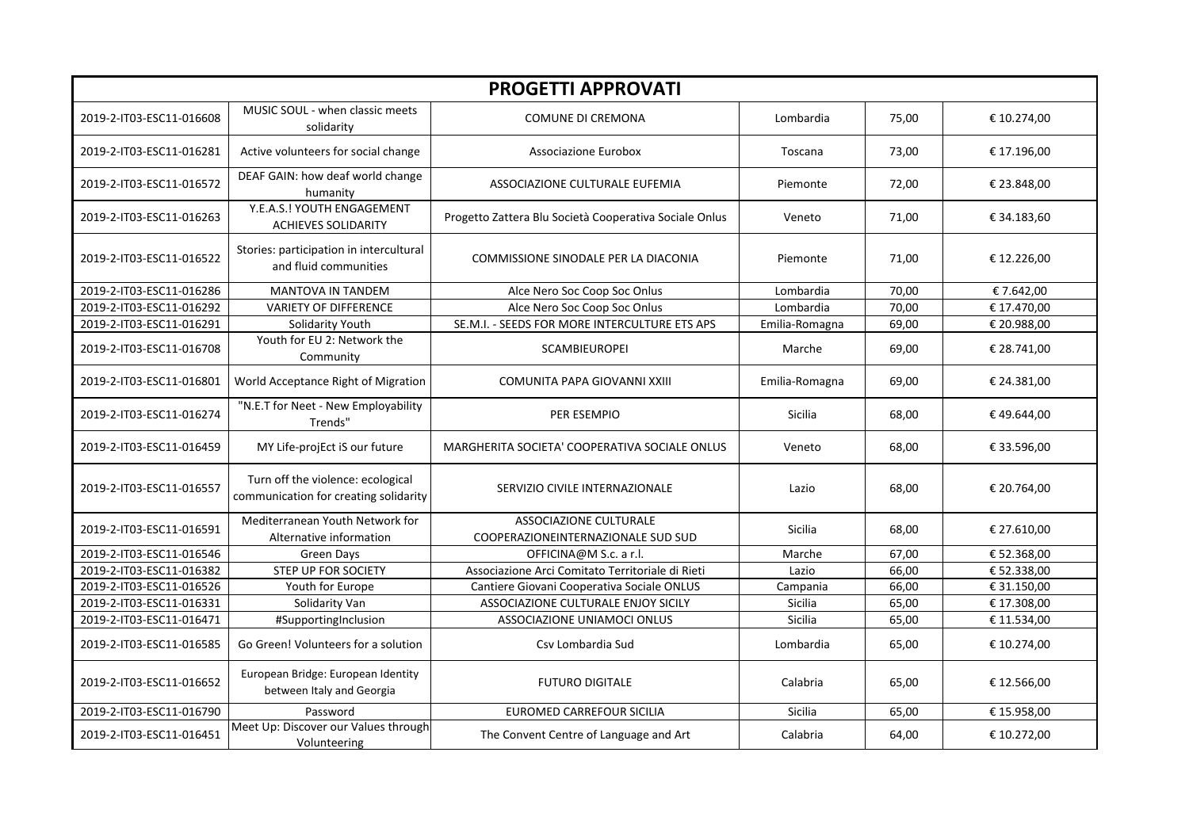| <b>PROGETTI APPROVATI</b> |                                                                            |                                                                     |                |       |             |
|---------------------------|----------------------------------------------------------------------------|---------------------------------------------------------------------|----------------|-------|-------------|
| 2019-2-IT03-ESC11-016608  | MUSIC SOUL - when classic meets<br>solidarity                              | <b>COMUNE DI CREMONA</b>                                            | Lombardia      | 75,00 | € 10.274,00 |
| 2019-2-IT03-ESC11-016281  | Active volunteers for social change                                        | Associazione Eurobox                                                | Toscana        | 73,00 | € 17.196,00 |
| 2019-2-IT03-ESC11-016572  | DEAF GAIN: how deaf world change<br>humanity                               | ASSOCIAZIONE CULTURALE EUFEMIA                                      | Piemonte       | 72,00 | € 23.848,00 |
| 2019-2-IT03-ESC11-016263  | Y.E.A.S.! YOUTH ENGAGEMENT<br><b>ACHIEVES SOLIDARITY</b>                   | Progetto Zattera Blu Società Cooperativa Sociale Onlus              | Veneto         | 71,00 | € 34.183,60 |
| 2019-2-IT03-ESC11-016522  | Stories: participation in intercultural<br>and fluid communities           | COMMISSIONE SINODALE PER LA DIACONIA                                | Piemonte       | 71,00 | € 12.226,00 |
| 2019-2-IT03-ESC11-016286  | MANTOVA IN TANDEM                                                          | Alce Nero Soc Coop Soc Onlus                                        | Lombardia      | 70,00 | €7.642,00   |
| 2019-2-IT03-ESC11-016292  | <b>VARIETY OF DIFFERENCE</b>                                               | Alce Nero Soc Coop Soc Onlus                                        | Lombardia      | 70,00 | € 17.470,00 |
| 2019-2-IT03-ESC11-016291  | Solidarity Youth                                                           | SE.M.I. - SEEDS FOR MORE INTERCULTURE ETS APS                       | Emilia-Romagna | 69,00 | € 20.988,00 |
| 2019-2-IT03-ESC11-016708  | Youth for EU 2: Network the<br>Community                                   | <b>SCAMBIEUROPEI</b>                                                | Marche         | 69,00 | € 28.741,00 |
| 2019-2-IT03-ESC11-016801  | World Acceptance Right of Migration                                        | COMUNITA PAPA GIOVANNI XXIII                                        | Emilia-Romagna | 69,00 | € 24.381,00 |
| 2019-2-IT03-ESC11-016274  | "N.E.T for Neet - New Employability<br>Trends"                             | PER ESEMPIO                                                         | <b>Sicilia</b> | 68,00 | €49.644,00  |
| 2019-2-IT03-ESC11-016459  | MY Life-projEct iS our future                                              | MARGHERITA SOCIETA' COOPERATIVA SOCIALE ONLUS                       | Veneto         | 68,00 | € 33.596,00 |
| 2019-2-IT03-ESC11-016557  | Turn off the violence: ecological<br>communication for creating solidarity | SERVIZIO CIVILE INTERNAZIONALE                                      | Lazio          | 68,00 | € 20.764,00 |
| 2019-2-IT03-ESC11-016591  | Mediterranean Youth Network for<br>Alternative information                 | <b>ASSOCIAZIONE CULTURALE</b><br>COOPERAZIONEINTERNAZIONALE SUD SUD | <b>Sicilia</b> | 68,00 | € 27.610,00 |
| 2019-2-IT03-ESC11-016546  | Green Days                                                                 | OFFICINA@M S.c. a r.l.                                              | Marche         | 67,00 | € 52.368,00 |
| 2019-2-IT03-ESC11-016382  | STEP UP FOR SOCIETY                                                        | Associazione Arci Comitato Territoriale di Rieti                    | Lazio          | 66,00 | € 52.338,00 |
| 2019-2-IT03-ESC11-016526  | Youth for Europe                                                           | Cantiere Giovani Cooperativa Sociale ONLUS                          | Campania       | 66,00 | € 31.150,00 |
| 2019-2-IT03-ESC11-016331  | Solidarity Van                                                             | ASSOCIAZIONE CULTURALE ENJOY SICILY                                 | Sicilia        | 65,00 | € 17.308,00 |
| 2019-2-IT03-ESC11-016471  | #SupportingInclusion                                                       | ASSOCIAZIONE UNIAMOCI ONLUS                                         | Sicilia        | 65,00 | € 11.534,00 |
| 2019-2-IT03-ESC11-016585  | Go Green! Volunteers for a solution                                        | Csv Lombardia Sud                                                   | Lombardia      | 65,00 | € 10.274,00 |
| 2019-2-IT03-ESC11-016652  | European Bridge: European Identity<br>between Italy and Georgia            | <b>FUTURO DIGITALE</b>                                              | Calabria       | 65,00 | € 12.566,00 |
| 2019-2-IT03-ESC11-016790  | Password                                                                   | EUROMED CARREFOUR SICILIA                                           | Sicilia        | 65,00 | € 15.958,00 |
| 2019-2-IT03-ESC11-016451  | Meet Up: Discover our Values through<br>Volunteering                       | The Convent Centre of Language and Art                              | Calabria       | 64,00 | € 10.272,00 |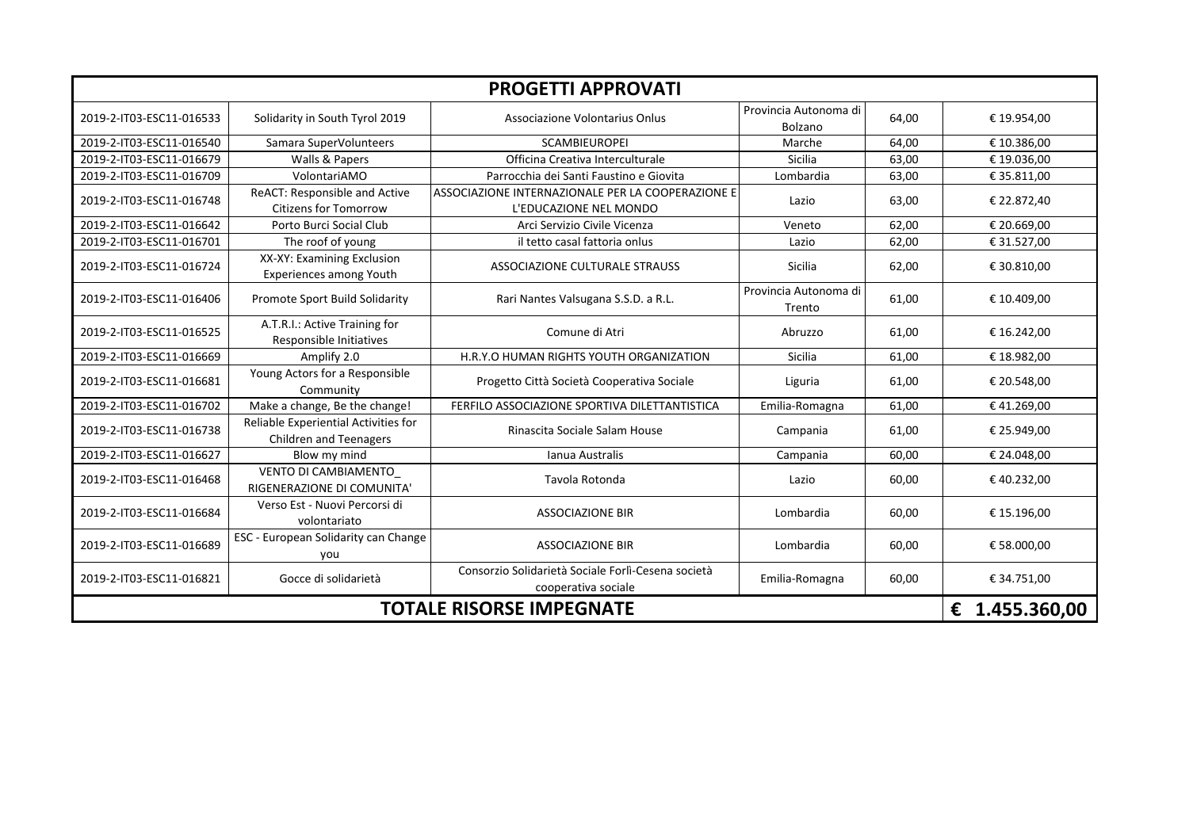| <b>PROGETTI APPROVATI</b>            |                                                                       |                                                                             |                                  |       |              |
|--------------------------------------|-----------------------------------------------------------------------|-----------------------------------------------------------------------------|----------------------------------|-------|--------------|
| 2019-2-IT03-ESC11-016533             | Solidarity in South Tyrol 2019                                        | Associazione Volontarius Onlus                                              | Provincia Autonoma di<br>Bolzano | 64,00 | € 19.954,00  |
| 2019-2-IT03-ESC11-016540             | Samara SuperVolunteers                                                | <b>SCAMBIEUROPEI</b>                                                        | Marche                           | 64,00 | € 10.386,00  |
| 2019-2-IT03-ESC11-016679             | Walls & Papers                                                        | Officina Creativa Interculturale                                            | <b>Sicilia</b>                   | 63,00 | € 19.036,00  |
| 2019-2-IT03-ESC11-016709             | VolontariAMO                                                          | Parrocchia dei Santi Faustino e Giovita                                     | Lombardia                        | 63,00 | € 35.811,00  |
| 2019-2-IT03-ESC11-016748             | ReACT: Responsible and Active<br><b>Citizens for Tomorrow</b>         | ASSOCIAZIONE INTERNAZIONALE PER LA COOPERAZIONE E<br>L'EDUCAZIONE NEL MONDO | Lazio                            | 63,00 | € 22.872,40  |
| 2019-2-IT03-ESC11-016642             | Porto Burci Social Club                                               | Arci Servizio Civile Vicenza                                                | Veneto                           | 62,00 | € 20.669,00  |
| 2019-2-IT03-ESC11-016701             | The roof of young                                                     | il tetto casal fattoria onlus                                               | Lazio                            | 62,00 | € 31.527,00  |
| 2019-2-IT03-ESC11-016724             | XX-XY: Examining Exclusion<br>Experiences among Youth                 | ASSOCIAZIONE CULTURALE STRAUSS                                              | Sicilia                          | 62,00 | € 30.810,00  |
| 2019-2-IT03-ESC11-016406             | Promote Sport Build Solidarity                                        | Rari Nantes Valsugana S.S.D. a R.L.                                         | Provincia Autonoma di<br>Trento  | 61,00 | € 10.409,00  |
| 2019-2-IT03-ESC11-016525             | A.T.R.I.: Active Training for<br>Responsible Initiatives              | Comune di Atri                                                              | Abruzzo                          | 61,00 | € 16.242,00  |
| 2019-2-IT03-ESC11-016669             | Amplify 2.0                                                           | H.R.Y.O HUMAN RIGHTS YOUTH ORGANIZATION                                     | <b>Sicilia</b>                   | 61,00 | € 18.982,00  |
| 2019-2-IT03-ESC11-016681             | Young Actors for a Responsible<br>Community                           | Progetto Città Società Cooperativa Sociale                                  | Liguria                          | 61,00 | € 20.548,00  |
| 2019-2-IT03-ESC11-016702             | Make a change, Be the change!                                         | FERFILO ASSOCIAZIONE SPORTIVA DILETTANTISTICA                               | Emilia-Romagna                   | 61,00 | €41.269,00   |
| 2019-2-IT03-ESC11-016738             | Reliable Experiential Activities for<br><b>Children and Teenagers</b> | Rinascita Sociale Salam House                                               | Campania                         | 61,00 | € 25.949,00  |
| 2019-2-IT03-ESC11-016627             | Blow my mind                                                          | Ianua Australis                                                             | Campania                         | 60,00 | € 24.048,00  |
| 2019-2-IT03-ESC11-016468             | VENTO DI CAMBIAMENTO<br>RIGENERAZIONE DI COMUNITA'                    | Tavola Rotonda                                                              | Lazio                            | 60,00 | €40.232,00   |
| 2019-2-IT03-ESC11-016684             | Verso Est - Nuovi Percorsi di<br>volontariato                         | <b>ASSOCIAZIONE BIR</b>                                                     | Lombardia                        | 60,00 | € 15.196,00  |
| 2019-2-IT03-ESC11-016689             | ESC - European Solidarity can Change<br>vou                           | <b>ASSOCIAZIONE BIR</b>                                                     | Lombardia                        | 60,00 | € 58.000,00  |
| 2019-2-IT03-ESC11-016821             | Gocce di solidarietà                                                  | Consorzio Solidarietà Sociale Forlì-Cesena società<br>cooperativa sociale   | Emilia-Romagna                   | 60,00 | € 34.751,00  |
| <b>TOTALE RISORSE IMPEGNATE</b><br>€ |                                                                       |                                                                             |                                  |       | 1.455.360,00 |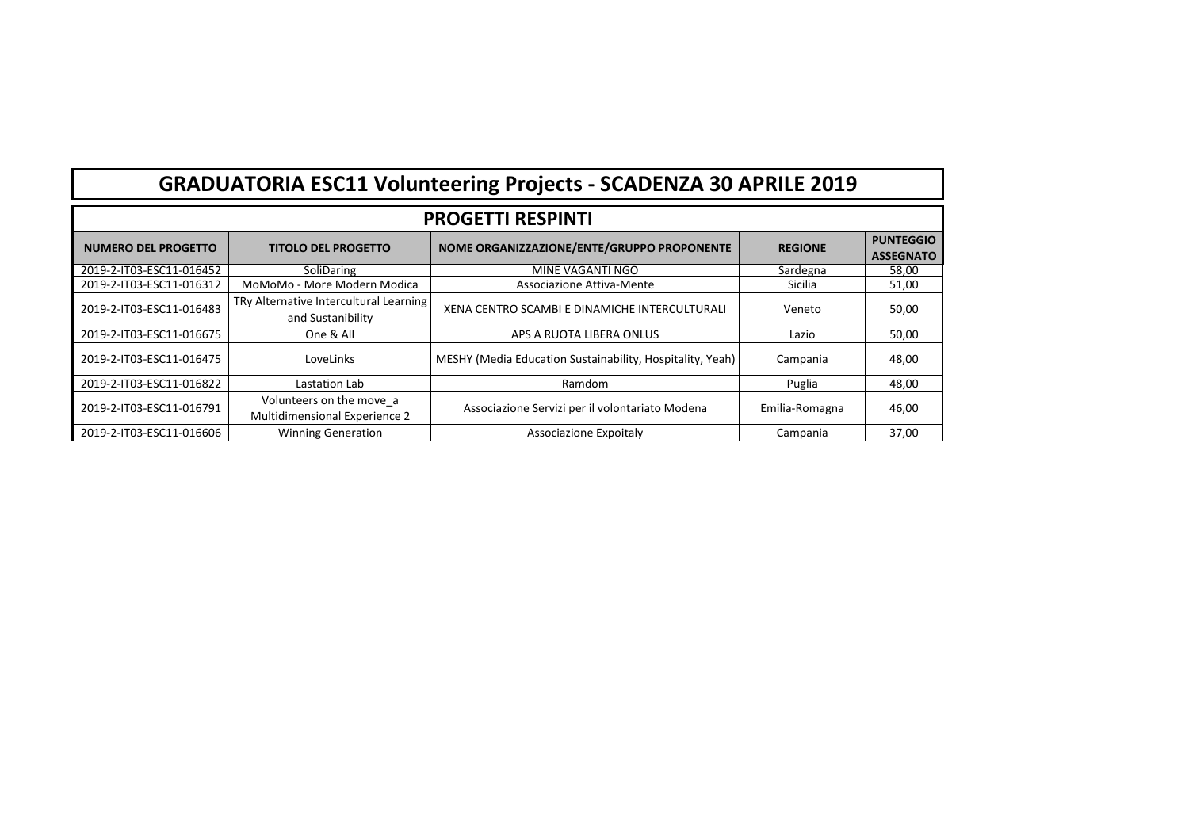| <b>GRADUATORIA ESC11 Volunteering Projects - SCADENZA 30 APRILE 2019</b> |                                                             |                                                           |                |                                      |  |  |
|--------------------------------------------------------------------------|-------------------------------------------------------------|-----------------------------------------------------------|----------------|--------------------------------------|--|--|
| <b>PROGETTI RESPINTI</b>                                                 |                                                             |                                                           |                |                                      |  |  |
| NUMERO DEL PROGETTO                                                      | <b>TITOLO DEL PROGETTO</b>                                  | NOME ORGANIZZAZIONE/ENTE/GRUPPO PROPONENTE                | <b>REGIONE</b> | <b>PUNTEGGIO</b><br><b>ASSEGNATO</b> |  |  |
| 2019-2-IT03-ESC11-016452                                                 | SoliDaring                                                  | MINE VAGANTI NGO                                          | Sardegna       | 58,00                                |  |  |
| 2019-2-IT03-ESC11-016312                                                 | MoMoMo - More Modern Modica                                 | Associazione Attiva-Mente                                 | Sicilia        | 51,00                                |  |  |
| 2019-2-IT03-ESC11-016483                                                 | TRy Alternative Intercultural Learning<br>and Sustanibility | XENA CENTRO SCAMBI E DINAMICHE INTERCULTURALI             | Veneto         | 50,00                                |  |  |
| 2019-2-IT03-ESC11-016675                                                 | One & All                                                   | APS A RUOTA LIBERA ONLUS                                  | Lazio          | 50,00                                |  |  |
| 2019-2-IT03-ESC11-016475                                                 | LoveLinks                                                   | MESHY (Media Education Sustainability, Hospitality, Yeah) | Campania       | 48,00                                |  |  |
| 2019-2-IT03-ESC11-016822                                                 | Lastation Lab                                               | Ramdom                                                    | Puglia         | 48,00                                |  |  |
| 2019-2-IT03-ESC11-016791                                                 | Volunteers on the move a<br>Multidimensional Experience 2   | Associazione Servizi per il volontariato Modena           | Emilia-Romagna | 46,00                                |  |  |
| 2019-2-IT03-ESC11-016606                                                 | <b>Winning Generation</b>                                   | Associazione Expoitaly                                    | Campania       | 37,00                                |  |  |